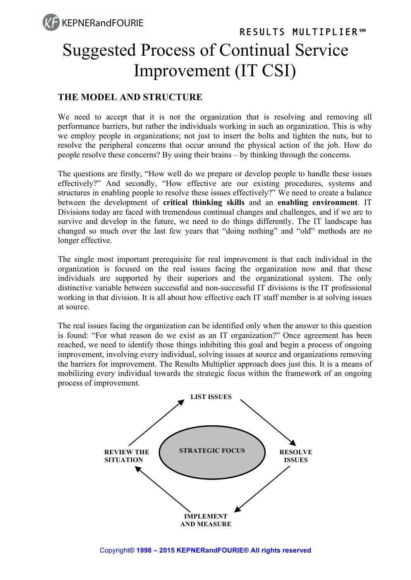## RESULTS MULTIPLIER**℠** Suggested Process of Continual Service Improvement (IT CSI)

### **THE MODEL AND STRUCTURE**

We need to accept that it is not the organization that is resolving and removing all performance barriers, but rather the individuals working in such an organization. This is why we employ people in organizations; not just to insert the bolts and tighten the nuts, but to resolve the peripheral concerns that occur around the physical action of the job. How do people resolve these concerns? By using their brains – by thinking through the concerns.

The questions are firstly, "How well do we prepare or develop people to handle these issues effectively?" And secondly, "How effective are our existing procedures, systems and structures in enabling people to resolve these issues effectively?" We need to create a balance between the development of **critical thinking skills** and an **enabling environment**. IT Divisions today are faced with tremendous continual changes and challenges, and if we are to survive and develop in the future, we need to do things differently. The IT landscape has changed so much over the last few years that "doing nothing" and "old" methods are no longer effective.

The single most important prerequisite for real improvement is that each individual in the organization is focused on the real issues facing the organization now and that these individuals are supported by their superiors and the organizational system. The only distinctive variable between successful and non-successful IT divisions is the IT professional working in that division. It is all about how effective each IT staff member is at solving issues at source.

The real issues facing the organization can be identified only when the answer to this question is found: "For what reason do we exist as an IT organization?" Once agreement has been reached, we need to identify those things inhibiting this goal and begin a process of ongoing improvement, involving every individual, solving issues at source and organizations removing the barriers for improvement. The Results Multiplier approach does just this. It is a means of mobilizing every individual towards the strategic focus within the framework of an ongoing process of improvement.

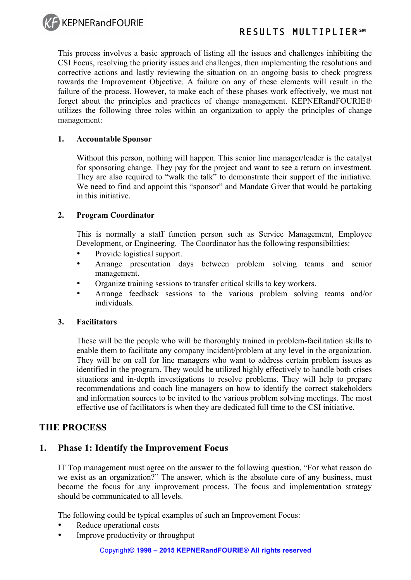

### RESULTS MULTIPLIER**℠**

This process involves a basic approach of listing all the issues and challenges inhibiting the CSI Focus, resolving the priority issues and challenges, then implementing the resolutions and corrective actions and lastly reviewing the situation on an ongoing basis to check progress towards the Improvement Objective. A failure on any of these elements will result in the failure of the process. However, to make each of these phases work effectively, we must not forget about the principles and practices of change management. KEPNERandFOURIE® utilizes the following three roles within an organization to apply the principles of change management:

#### **1. Accountable Sponsor**

Without this person, nothing will happen. This senior line manager/leader is the catalyst for sponsoring change. They pay for the project and want to see a return on investment. They are also required to "walk the talk" to demonstrate their support of the initiative. We need to find and appoint this "sponsor" and Mandate Giver that would be partaking in this initiative.

#### **2. Program Coordinator**

This is normally a staff function person such as Service Management, Employee Development, or Engineering. The Coordinator has the following responsibilities:

- Provide logistical support.
- Arrange presentation days between problem solving teams and senior management.
- Organize training sessions to transfer critical skills to key workers.
- Arrange feedback sessions to the various problem solving teams and/or individuals.

#### **3. Facilitators**

These will be the people who will be thoroughly trained in problem-facilitation skills to enable them to facilitate any company incident/problem at any level in the organization. They will be on call for line managers who want to address certain problem issues as identified in the program. They would be utilized highly effectively to handle both crises situations and in-depth investigations to resolve problems. They will help to prepare recommendations and coach line managers on how to identify the correct stakeholders and information sources to be invited to the various problem solving meetings. The most effective use of facilitators is when they are dedicated full time to the CSI initiative.

#### **THE PROCESS**

#### **1. Phase 1: Identify the Improvement Focus**

IT Top management must agree on the answer to the following question, "For what reason do we exist as an organization?" The answer, which is the absolute core of any business, must become the focus for any improvement process. The focus and implementation strategy should be communicated to all levels.

The following could be typical examples of such an Improvement Focus:

- Reduce operational costs
- Improve productivity or throughput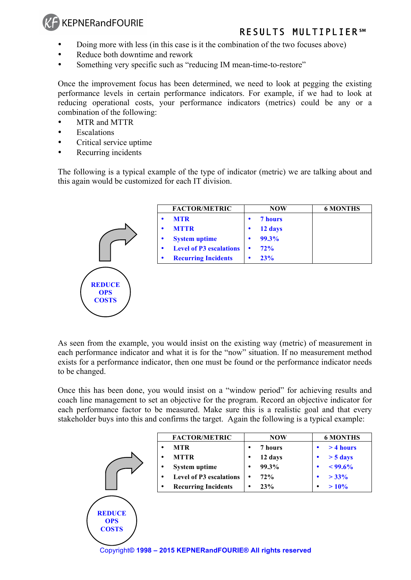## **KEPNERandFOURIE**

## RESULTS MULTIPLIER**℠**

- Doing more with less (in this case is it the combination of the two focuses above)
- Reduce both downtime and rework
- Something very specific such as "reducing IM mean-time-to-restore"

Once the improvement focus has been determined, we need to look at pegging the existing performance levels in certain performance indicators. For example, if we had to look at reducing operational costs, your performance indicators (metrics) could be any or a combination of the following:

- MTR and MTTR
- **Escalations**
- Critical service uptime

**OPS COSTS**

• Recurring incidents

The following is a typical example of the type of indicator (metric) we are talking about and this again would be customized for each IT division.

|                                             | <b>FACTOR/METRIC</b>                | <b>NOW</b>         | <b>6 MONTHS</b> |
|---------------------------------------------|-------------------------------------|--------------------|-----------------|
|                                             | <b>MTR</b><br>٠                     | 7 hours<br>٠       |                 |
|                                             | <b>MTTR</b><br>$\bullet$            | 12 days<br>٠       |                 |
|                                             | <b>System uptime</b><br>٠           | 99.3%<br>$\bullet$ |                 |
|                                             | <b>Level of P3 escalations</b><br>٠ | 72%<br>$\bullet$   |                 |
|                                             | <b>Recurring Incidents</b><br>٠     | 23%<br>$\bullet$   |                 |
| <b>REDUCE</b><br><b>OPS</b><br><b>COSTS</b> |                                     |                    |                 |

As seen from the example, you would insist on the existing way (metric) of measurement in each performance indicator and what it is for the "now" situation. If no measurement method exists for a performance indicator, then one must be found or the performance indicator needs to be changed.

Once this has been done, you would insist on a "window period" for achieving results and coach line management to set an objective for the program. Record an objective indicator for each performance factor to be measured. Make sure this is a realistic goal and that every stakeholder buys into this and confirms the target. Again the following is a typical example:

|               | <b>FACTOR/METRIC</b>                | <b>NOW</b>   | <b>6 MONTHS</b>    |
|---------------|-------------------------------------|--------------|--------------------|
|               | <b>MTR</b><br>٠                     | 7 hours      | > 4 hours          |
|               | <b>MTTR</b><br>٠                    | 12 days<br>٠ | $> 5 \text{ days}$ |
|               | <b>System uptime</b><br>٠           | 99.3%<br>٠   | $< 99.6\%$         |
|               | <b>Level of P3 escalations</b><br>٠ | 72%<br>٠     | $> 33\%$           |
|               | <b>Recurring Incidents</b><br>٠     | 23%<br>٠     | >10%<br>٠          |
| <b>REDUCE</b> |                                     |              |                    |

Copyright**© 1998 – 2015 KEPNERandFOURIE® All rights reserved**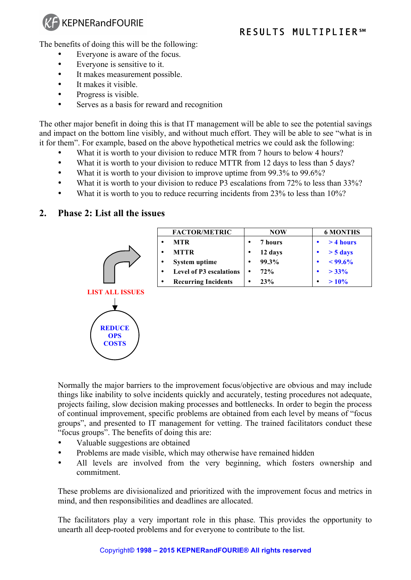

The benefits of doing this will be the following:

- Everyone is aware of the focus.
- Everyone is sensitive to it.
- It makes measurement possible.
- It makes it visible.
- Progress is visible.
- Serves as a basis for reward and recognition

The other major benefit in doing this is that IT management will be able to see the potential savings and impact on the bottom line visibly, and without much effort. They will be able to see "what is in it for them". For example, based on the above hypothetical metrics we could ask the following:

- What it is worth to your division to reduce MTR from 7 hours to below 4 hours?
- What it is worth to your division to reduce MTTR from 12 days to less than 5 days?
- What it is worth to your division to improve uptime from 99.3% to 99.6%?
- What it is worth to your division to reduce P3 escalations from 72% to less than 33%?
- What it is worth to you to reduce recurring incidents from 23% to less than 10%?

#### **2. Phase 2: List all the issues**

|        | <b>FACTOR/METRIC</b>           | <b>NOW</b>   | <b>6 MONTHS</b>    |
|--------|--------------------------------|--------------|--------------------|
|        | <b>MTR</b>                     | 7 hours<br>٠ | $>4$ hours         |
|        | <b>MTTR</b><br>٠               | 12 days      | $> 5 \text{ days}$ |
| ٠<br>٠ | <b>System uptime</b>           | 99.3%<br>٠   | $< 99.6\%$         |
|        | <b>Level of P3 escalations</b> | 72%          | $> 33\%$           |
|        | <b>Recurring Incidents</b>     | 23%<br>٠     | $>10\%$<br>٠       |



Normally the major barriers to the improvement focus/objective are obvious and may include things like inability to solve incidents quickly and accurately, testing procedures not adequate, projects failing, slow decision making processes and bottlenecks. In order to begin the process of continual improvement, specific problems are obtained from each level by means of "focus groups", and presented to IT management for vetting. The trained facilitators conduct these "focus groups". The benefits of doing this are:

- Valuable suggestions are obtained
- Problems are made visible, which may otherwise have remained hidden
- All levels are involved from the very beginning, which fosters ownership and commitment.

These problems are divisionalized and prioritized with the improvement focus and metrics in mind, and then responsibilities and deadlines are allocated.

The facilitators play a very important role in this phase. This provides the opportunity to unearth all deep-rooted problems and for everyone to contribute to the list.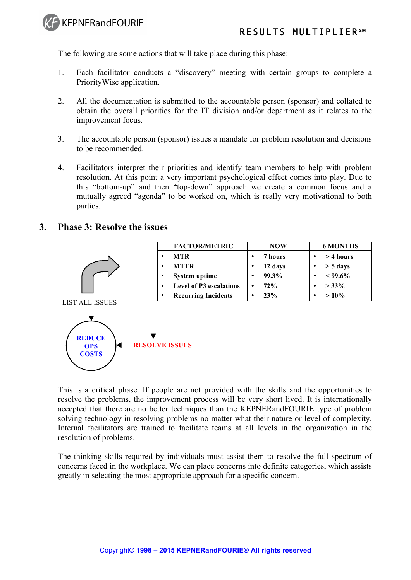

The following are some actions that will take place during this phase:

- 1. Each facilitator conducts a "discovery" meeting with certain groups to complete a PriorityWise application.
- 2. All the documentation is submitted to the accountable person (sponsor) and collated to obtain the overall priorities for the IT division and/or department as it relates to the improvement focus.
- 3. The accountable person (sponsor) issues a mandate for problem resolution and decisions to be recommended.
- 4. Facilitators interpret their priorities and identify team members to help with problem resolution. At this point a very important psychological effect comes into play. Due to this "bottom-up" and then "top-down" approach we create a common focus and a mutually agreed "agenda" to be worked on, which is really very motivational to both parties.

#### **3. Phase 3: Resolve the issues**



This is a critical phase. If people are not provided with the skills and the opportunities to resolve the problems, the improvement process will be very short lived. It is internationally accepted that there are no better techniques than the KEPNERandFOURIE type of problem solving technology in resolving problems no matter what their nature or level of complexity. Internal facilitators are trained to facilitate teams at all levels in the organization in the resolution of problems.

The thinking skills required by individuals must assist them to resolve the full spectrum of concerns faced in the workplace. We can place concerns into definite categories, which assists greatly in selecting the most appropriate approach for a specific concern.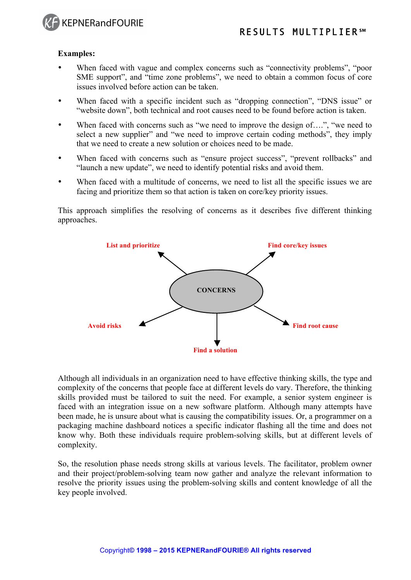

#### **Examples:**

- When faced with vague and complex concerns such as "connectivity problems", "poor SME support", and "time zone problems", we need to obtain a common focus of core issues involved before action can be taken.
- When faced with a specific incident such as "dropping connection", "DNS issue" or "website down", both technical and root causes need to be found before action is taken.
- When faced with concerns such as "we need to improve the design of....", "we need to select a new supplier" and "we need to improve certain coding methods", they imply that we need to create a new solution or choices need to be made.
- When faced with concerns such as "ensure project success", "prevent rollbacks" and "launch a new update", we need to identify potential risks and avoid them.
- When faced with a multitude of concerns, we need to list all the specific issues we are facing and prioritize them so that action is taken on core/key priority issues.

This approach simplifies the resolving of concerns as it describes five different thinking approaches.



Although all individuals in an organization need to have effective thinking skills, the type and complexity of the concerns that people face at different levels do vary. Therefore, the thinking skills provided must be tailored to suit the need. For example, a senior system engineer is faced with an integration issue on a new software platform. Although many attempts have been made, he is unsure about what is causing the compatibility issues. Or, a programmer on a packaging machine dashboard notices a specific indicator flashing all the time and does not know why. Both these individuals require problem-solving skills, but at different levels of complexity.

So, the resolution phase needs strong skills at various levels. The facilitator, problem owner and their project/problem-solving team now gather and analyze the relevant information to resolve the priority issues using the problem-solving skills and content knowledge of all the key people involved.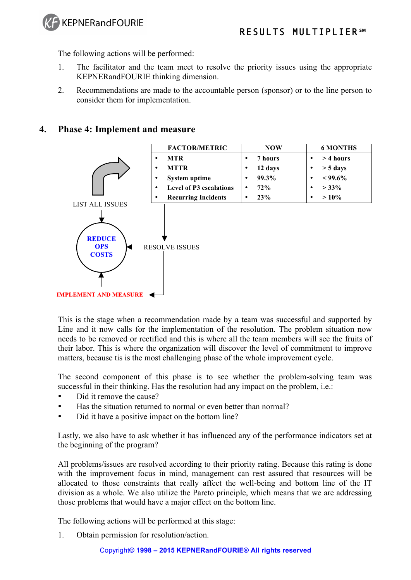

The following actions will be performed:

- 1. The facilitator and the team meet to resolve the priority issues using the appropriate KEPNERandFOURIE thinking dimension.
- 2. Recommendations are made to the accountable person (sponsor) or to the line person to consider them for implementation.

#### **4. Phase 4: Implement and measure**



This is the stage when a recommendation made by a team was successful and supported by Line and it now calls for the implementation of the resolution. The problem situation now needs to be removed or rectified and this is where all the team members will see the fruits of their labor. This is where the organization will discover the level of commitment to improve matters, because tis is the most challenging phase of the whole improvement cycle.

The second component of this phase is to see whether the problem-solving team was successful in their thinking. Has the resolution had any impact on the problem, i.e.:

- Did it remove the cause?
- Has the situation returned to normal or even better than normal?
- Did it have a positive impact on the bottom line?

Lastly, we also have to ask whether it has influenced any of the performance indicators set at the beginning of the program?

All problems/issues are resolved according to their priority rating. Because this rating is done with the improvement focus in mind, management can rest assured that resources will be allocated to those constraints that really affect the well-being and bottom line of the IT division as a whole. We also utilize the Pareto principle, which means that we are addressing those problems that would have a major effect on the bottom line.

The following actions will be performed at this stage:

1. Obtain permission for resolution/action.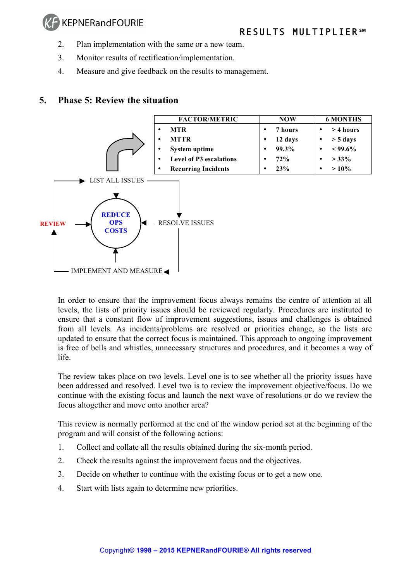## **KEPNERandFOURIE**

- 2. Plan implementation with the same or a new team.
- 3. Monitor results of rectification/implementation.
- 4. Measure and give feedback on the results to management.

#### **5. Phase 5: Review the situation**



In order to ensure that the improvement focus always remains the centre of attention at all levels, the lists of priority issues should be reviewed regularly. Procedures are instituted to ensure that a constant flow of improvement suggestions, issues and challenges is obtained from all levels. As incidents/problems are resolved or priorities change, so the lists are updated to ensure that the correct focus is maintained. This approach to ongoing improvement is free of bells and whistles, unnecessary structures and procedures, and it becomes a way of life.

The review takes place on two levels. Level one is to see whether all the priority issues have been addressed and resolved. Level two is to review the improvement objective/focus. Do we continue with the existing focus and launch the next wave of resolutions or do we review the focus altogether and move onto another area?

This review is normally performed at the end of the window period set at the beginning of the program and will consist of the following actions:

- 1. Collect and collate all the results obtained during the six-month period.
- 2. Check the results against the improvement focus and the objectives.
- 3. Decide on whether to continue with the existing focus or to get a new one.
- 4. Start with lists again to determine new priorities.